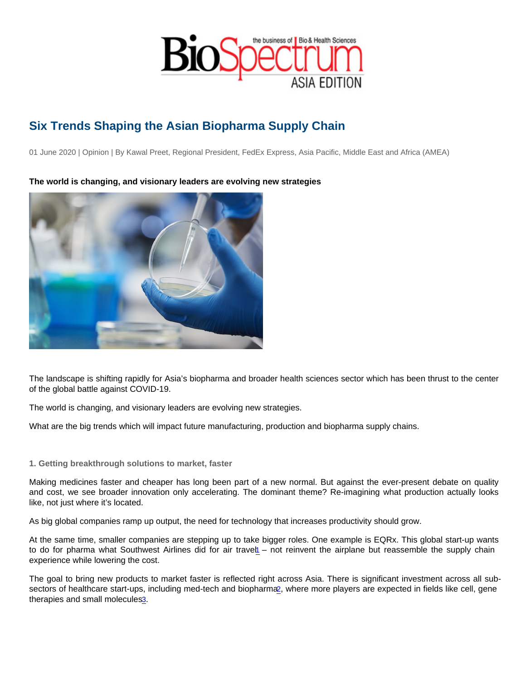# <span id="page-0-0"></span>Six Trends Shaping the Asian Biopharma Supply Chain

01 June 2020 | Opinion | By Kawal Preet, Regional President, FedEx Express, Asia Pacific, Middle East and Africa (AMEA)

The world is changing, and visionary leaders are evolving new strategies

The landscape is shifting rapidly for Asia's biopharma and broader health sciences sector which has been thrust to the center of the global battle against COVID-19.

The world is changing, and visionary leaders are evolving new strategies.

What are the big trends which will impact future manufacturing, production and biopharma supply chains.

### 1. Getting breakthrough solutions to market, faster

Making medicines faster and cheaper has long been part of a new normal. But against the ever-present debate on quality and cost, we see broader innovation only accelerating. The dominant theme? Re-imagining what production actually looks like, not just where it's located.

As big global companies ramp up output, the need for technology that increases productivity should grow.

At the same time, smaller companies are stepping up to take bigger roles. One example is EQRx. This global start-up wants to do for pharma what Southwest Airlines did for air travel – not reinvent the airplane but reassemble the supply chain experience while lowering the cost.

The goal to bring new products to market faster is reflected right across Asia. There is significant investment across all subsectors of healthcare start-ups, including med-tech and biopharma, where more players are expected in fields like cell, gene therapies and small molecules[3](https://sbr.com.sg/markets-investing/in-focus/new-startup-sectors-gain-ground-vcs-fill-coffers).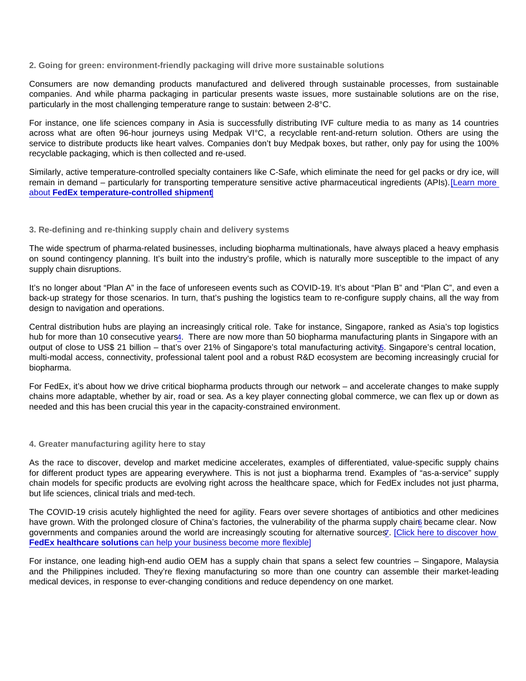### <span id="page-1-0"></span>2. Going for green: environment-friendly packaging will drive more sustainable solutions

Consumers are now demanding products manufactured and delivered through sustainable processes, from sustainable companies. And while pharma packaging in particular presents waste issues, more sustainable solutions are on the rise, particularly in the most challenging temperature range to sustain: between 2-8°C.

For instance, one life sciences company in Asia is successfully distributing IVF culture media to as many as 14 countries across what are often 96-hour journeys using Medpak VI°C, a recyclable rent-and-return solution. Others are using the service to distribute products like heart valves. Companies don't buy Medpak boxes, but rather, only pay for using the 100% recyclable packaging, which is then collected and re-used.

Similarly, active temperature-controlled specialty containers like C-Safe, which eliminate the need for gel packs or dry ice, will remain in demand – particularly for transporting temperature sensitive active pharmaceutical ingredients (APIs). [\[Learn more](http://www.fedex.com/sg/healthcare/temp-control.html?CMP=BAC-1005470-8-4-952-1000000-APAC-SG-EN-BIOSSPA00000008)  [about FedEx temperature-controlled shipment](http://www.fedex.com/sg/healthcare/temp-control.html?CMP=BAC-1005470-8-4-952-1000000-APAC-SG-EN-BIOSSPA00000008) ]

### 3. Re-defining and re-thinking supply chain and delivery systems

The wide spectrum of pharma-related businesses, including biopharma multinationals, have always placed a heavy emphasis on sound contingency planning. It's built into the industry's profile, which is naturally more susceptible to the impact of any supply chain disruptions.

It's no longer about "Plan A" in the face of unforeseen events such as COVID-19. It's about "Plan B" and "Plan C", and even a back-up strategy for those scenarios. In turn, that's pushing the logistics team to re-configure supply chains, all the way from design to navigation and operations.

Central distribution hubs are playing an increasingly critical role. Take for instance, Singapore, ranked as Asia's top logistics hub for more than 10 consecutive years[4](https://www.edb.gov.sg/en/our-industries/logistics-and-supply-chain-management.html). There are now more than 50 biopharma manufacturing plants in Singapore with an output of close to US\$ 21 billion – that's over 21% of Singapore's total manufacturing activity[5](https://www.sapi.org.sg/wp-content/uploads/2018/05/Deloitte-Thought-Paper.pdf). Singapore's central location, multi-modal access, connectivity, professional talent pool and a robust R&D ecosystem are becoming increasingly crucial for biopharma.

For FedEx, it's about how we drive critical biopharma products through our network – and accelerate changes to make supply chains more adaptable, whether by air, road or sea. As a key player connecting global commerce, we can flex up or down as needed and this has been crucial this year in the capacity-constrained environment.

### 4. Greater manufacturing agility here to stay

As the race to discover, develop and market medicine accelerates, examples of differentiated, value-specific supply chains for different product types are appearing everywhere. This is not just a biopharma trend. Examples of "as-a-service" supply chain models for specific products are evolving right across the healthcare space, which for FedEx includes not just pharma, but life sciences, clinical trials and med-tech.

The COVID-19 crisis acutely highlighted the need for agility. Fears over severe shortages of antibiotics and other medicines have grown. With the prolonged closure of China's factories, the vulnerability of the pharma supply chain became clear. Now governments and companies around the world are increasingly scouting for alternative sources. [Click here to discover how [FedEx healthcare solutions can help your business become more flexible\]](http://www.fedex.com/sg/healthcare/index.html?CMP=BAC-1005470-8-4-952-1000000-APAC-SG-EN-BIOSSPA00000009)

For instance, one leading high-end audio OEM has a supply chain that spans a select few countries – Singapore, Malaysia and the Philippines included. They're flexing manufacturing so more than one country can assemble their market-leading medical devices, in response to ever-changing conditions and reduce dependency on one market.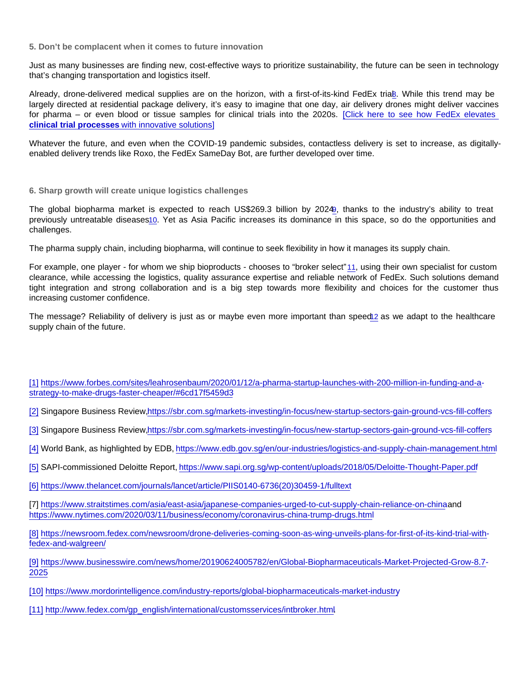<span id="page-2-0"></span>5. Don't be complacent when it comes to future innovation

Just as many businesses are finding new, cost-effective ways to prioritize sustainability, the future can be seen in technology that's changing transportation and logistics itself.

Already, drone-delivered medical supplies are on the horizon, with a first-of-its-kind FedEx trial[8](https://newsroom.fedex.com/newsroom/drone-deliveries-coming-soon-as-wing-unveils-plans-for-first-of-its-kind-trial-with-fedex-and-walgreen/). While this trend may be largely directed at residential package delivery, it's easy to imagine that one day, air delivery drones might deliver vaccines for pharma – or even blood or tissue samples for clinical trials into the 2020s. [\[Click here to see how FedEx elevates](http://www.fedex.com/sg/healthcare/clinical.html?CMP=BAC-1005470-8-4-952-1000000-APAC-SG-EN-BIOSSPA00000010)  [clinical trial processes with innovative solutions\]](http://www.fedex.com/sg/healthcare/clinical.html?CMP=BAC-1005470-8-4-952-1000000-APAC-SG-EN-BIOSSPA00000010)

Whatever the future, and even when the COVID-19 pandemic subsides, contactless delivery is set to increase, as digitallyenabled delivery trends like Roxo, the FedEx SameDay Bot, are further developed over time.

## 6. Sharp growth will create unique logistics challenges

The global biopharma market is expected to reach US\$269.3 billion by 2024[9](https://www.businesswire.com/news/home/20190624005782/en/Global-Biopharmaceuticals-Market-Projected-Grow-8.7-2025), thanks to the industry's ability to treat previously untreatable diseases[10](https://www.mordorintelligence.com/industry-reports/global-biopharmaceuticals-market-industry). Yet as Asia Pacific increases its dominance in this space, so do the opportunities and challenges.

The pharma supply chain, including biopharma, will continue to seek flexibility in how it manages its supply chain.

For example, one player - for whom we ship bioproducts - chooses to "broker select" [11](http://www.fedex.com/gp_english/international/customsservices/intbroker.html), using their own specialist for custom clearance, while accessing the logistics, quality assurance expertise and reliable network of FedEx. Such solutions demand tight integration and strong collaboration and is a big step towards more flexibility and choices for the customer thus increasing customer confidence.

The message? Reliability of delivery is just as or maybe even more important than speed[12](https://www.fedex.com/en-us/healthcare/knowledge-center/solutions/healthcare-supply-chain-future.html) as we adapt to the healthcare supply chain of the future.

[\[1\]](#page-0-0) [https://www.forbes.com/sites/leahrosenbaum/2020/01/12/a-pharma-startup-launches-with-200-million-in-funding-and-a](https://www.forbes.com/sites/leahrosenbaum/2020/01/12/a-pharma-startup-launches-with-200-million-in-funding-and-a-strategy-to-make-drugs-faster-cheaper/#6cd17f5459d3)[strategy-to-make-drugs-faster-cheaper/#6cd17f5459d3](https://www.forbes.com/sites/leahrosenbaum/2020/01/12/a-pharma-startup-launches-with-200-million-in-funding-and-a-strategy-to-make-drugs-faster-cheaper/#6cd17f5459d3)

[\[2\]](#page-0-0) Singapore Business Review[,https://sbr.com.sg/markets-investing/in-focus/new-startup-sectors-gain-ground-vcs-fill-coffers](https://sbr.com.sg/markets-investing/in-focus/new-startup-sectors-gain-ground-vcs-fill-coffers)

[\[3\]](#page-0-0) Singapore Business Review[,https://sbr.com.sg/markets-investing/in-focus/new-startup-sectors-gain-ground-vcs-fill-coffers](https://sbr.com.sg/markets-investing/in-focus/new-startup-sectors-gain-ground-vcs-fill-coffers)

[\[4\]](#page-1-0) World Bank, as highlighted by EDB,<https://www.edb.gov.sg/en/our-industries/logistics-and-supply-chain-management.html>

[\[5\]](#page-1-0) SAPI-commissioned Deloitte Report,<https://www.sapi.org.sg/wp-content/uploads/2018/05/Deloitte-Thought-Paper.pdf>

[\[6\]](#page-1-0) [https://www.thelancet.com/journals/lancet/article/PIIS0140-6736\(20\)30459-1/fulltext](https://www.thelancet.com/journals/lancet/article/PIIS0140-6736(20)30459-1/fulltext)

[7] <https://www.straitstimes.com/asia/east-asia/japanese-companies-urged-to-cut-supply-chain-reliance-on-china> and [https://www.nytimes.com/2020/03/11/business/economy/coronavirus-china-trump-drugs.htm](https://www.nytimes.com/2020/03/11/business/economy/coronavirus-china-trump-drugs.html)l

[8] [https://newsroom.fedex.com/newsroom/drone-deliveries-coming-soon-as-wing-unveils-plans-for-first-of-its-kind-trial-with](https://newsroom.fedex.com/newsroom/drone-deliveries-coming-soon-as-wing-unveils-plans-for-first-of-its-kind-trial-with-fedex-and-walgreen/)[fedex-and-walgreen/](https://newsroom.fedex.com/newsroom/drone-deliveries-coming-soon-as-wing-unveils-plans-for-first-of-its-kind-trial-with-fedex-and-walgreen/)

[9] [https://www.businesswire.com/news/home/20190624005782/en/Global-Biopharmaceuticals-Market-Projected-Grow-8.7-](https://www.businesswire.com/news/home/20190624005782/en/Global-Biopharmaceuticals-Market-Projected-Grow-8.7-2025) [2025](https://www.businesswire.com/news/home/20190624005782/en/Global-Biopharmaceuticals-Market-Projected-Grow-8.7-2025)

- [10] <https://www.mordorintelligence.com/industry-reports/global-biopharmaceuticals-market-industry>
- [11] [http://www.fedex.com/gp\\_english/international/customsservices/intbroker.html](http://www.fedex.com/gp_english/international/customsservices/intbroker.html)